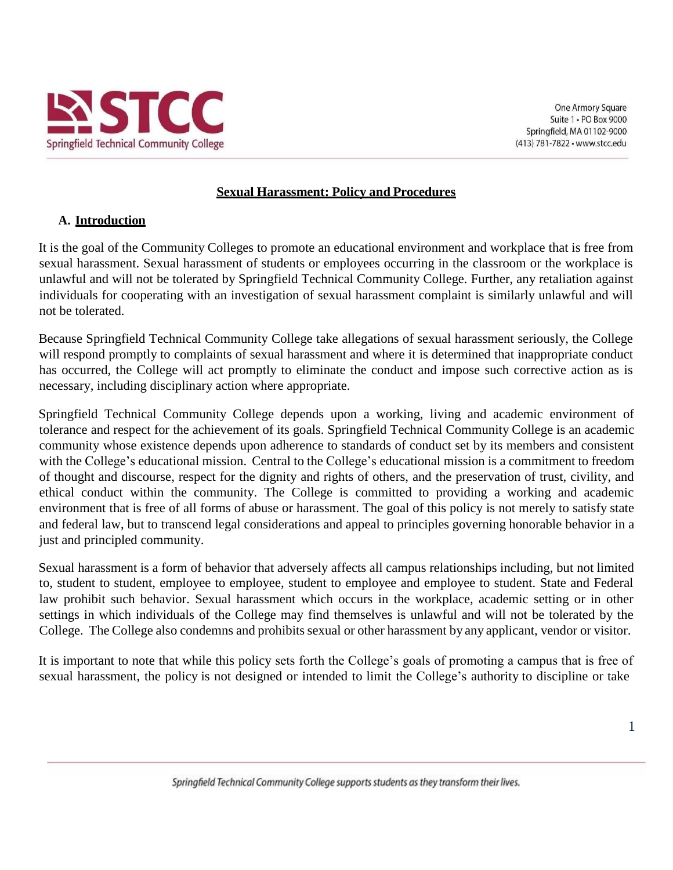

#### **Sexual Harassment: Policy and Procedures**

#### **A. Introduction**

It is the goal of the Community Colleges to promote an educational environment and workplace that is free from sexual harassment. Sexual harassment of students or employees occurring in the classroom or the workplace is unlawful and will not be tolerated by Springfield Technical Community College. Further, any retaliation against individuals for cooperating with an investigation of sexual harassment complaint is similarly unlawful and will not be tolerated.

Because Springfield Technical Community College take allegations of sexual harassment seriously, the College will respond promptly to complaints of sexual harassment and where it is determined that inappropriate conduct has occurred, the College will act promptly to eliminate the conduct and impose such corrective action as is necessary, including disciplinary action where appropriate.

Springfield Technical Community College depends upon a working, living and academic environment of tolerance and respect for the achievement of its goals. Springfield Technical Community College is an academic community whose existence depends upon adherence to standards of conduct set by its members and consistent with the College's educational mission. Central to the College's educational mission is a commitment to freedom of thought and discourse, respect for the dignity and rights of others, and the preservation of trust, civility, and ethical conduct within the community. The College is committed to providing a working and academic environment that is free of all forms of abuse or harassment. The goal of this policy is not merely to satisfy state and federal law, but to transcend legal considerations and appeal to principles governing honorable behavior in a just and principled community.

Sexual harassment is a form of behavior that adversely affects all campus relationships including, but not limited to, student to student, employee to employee, student to employee and employee to student. State and Federal law prohibit such behavior. Sexual harassment which occurs in the workplace, academic setting or in other settings in which individuals of the College may find themselves is unlawful and will not be tolerated by the College. The College also condemns and prohibits sexual or other harassment by any applicant, vendor or visitor.

It is important to note that while this policy sets forth the College's goals of promoting a campus that is free of sexual harassment, the policy is not designed or intended to limit the College's authority to discipline or take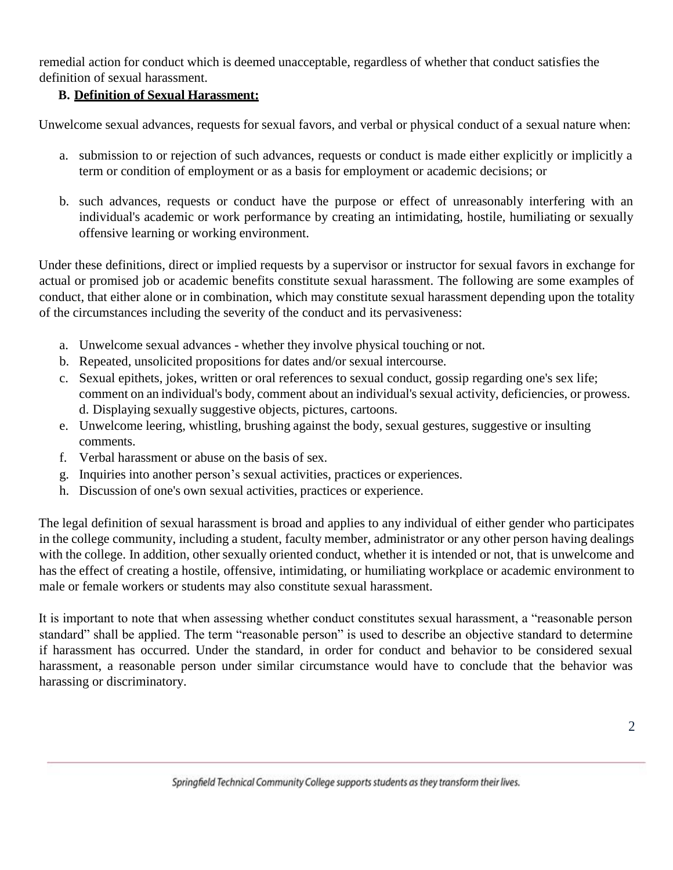remedial action for conduct which is deemed unacceptable, regardless of whether that conduct satisfies the definition of sexual harassment.

## **B. Definition of Sexual Harassment:**

Unwelcome sexual advances, requests for sexual favors, and verbal or physical conduct of a sexual nature when:

- a. submission to or rejection of such advances, requests or conduct is made either explicitly or implicitly a term or condition of employment or as a basis for employment or academic decisions; or
- b. such advances, requests or conduct have the purpose or effect of unreasonably interfering with an individual's academic or work performance by creating an intimidating, hostile, humiliating or sexually offensive learning or working environment.

Under these definitions, direct or implied requests by a supervisor or instructor for sexual favors in exchange for actual or promised job or academic benefits constitute sexual harassment. The following are some examples of conduct, that either alone or in combination, which may constitute sexual harassment depending upon the totality of the circumstances including the severity of the conduct and its pervasiveness:

- a. Unwelcome sexual advances whether they involve physical touching or not.
- b. Repeated, unsolicited propositions for dates and/or sexual intercourse.
- c. Sexual epithets, jokes, written or oral references to sexual conduct, gossip regarding one's sex life; comment on an individual's body, comment about an individual's sexual activity, deficiencies, or prowess. d. Displaying sexually suggestive objects, pictures, cartoons.
- e. Unwelcome leering, whistling, brushing against the body, sexual gestures, suggestive or insulting comments.
- f. Verbal harassment or abuse on the basis of sex.
- g. Inquiries into another person's sexual activities, practices or experiences.
- h. Discussion of one's own sexual activities, practices or experience.

The legal definition of sexual harassment is broad and applies to any individual of either gender who participates in the college community, including a student, faculty member, administrator or any other person having dealings with the college. In addition, other sexually oriented conduct, whether it is intended or not, that is unwelcome and has the effect of creating a hostile, offensive, intimidating, or humiliating workplace or academic environment to male or female workers or students may also constitute sexual harassment.

It is important to note that when assessing whether conduct constitutes sexual harassment, a "reasonable person standard" shall be applied. The term "reasonable person" is used to describe an objective standard to determine if harassment has occurred. Under the standard, in order for conduct and behavior to be considered sexual harassment, a reasonable person under similar circumstance would have to conclude that the behavior was harassing or discriminatory.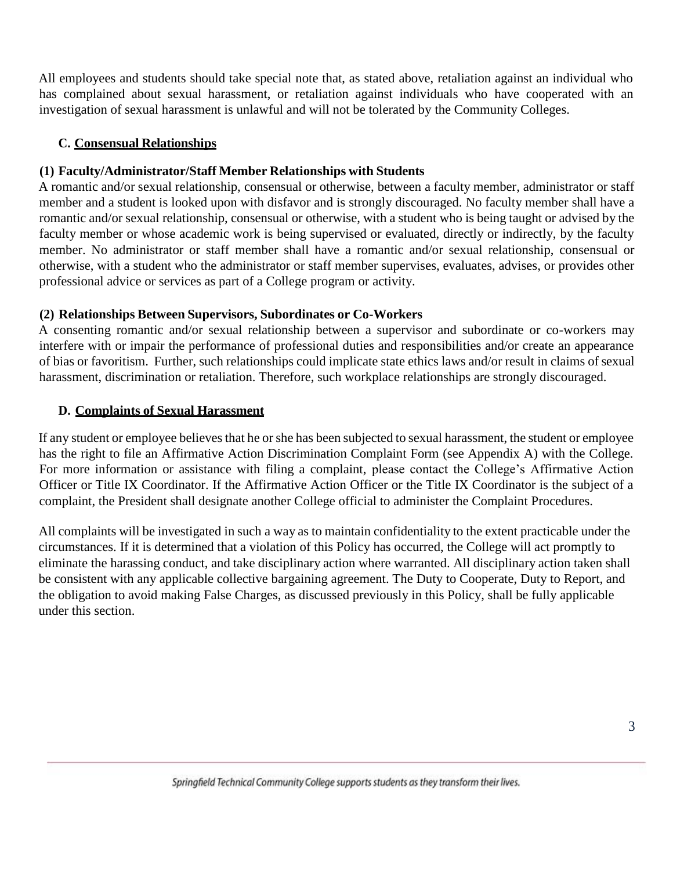All employees and students should take special note that, as stated above, retaliation against an individual who has complained about sexual harassment, or retaliation against individuals who have cooperated with an investigation of sexual harassment is unlawful and will not be tolerated by the Community Colleges.

#### **C. Consensual Relationships**

### **(1) Faculty/Administrator/Staff Member Relationships with Students**

A romantic and/or sexual relationship, consensual or otherwise, between a faculty member, administrator or staff member and a student is looked upon with disfavor and is strongly discouraged. No faculty member shall have a romantic and/or sexual relationship, consensual or otherwise, with a student who is being taught or advised by the faculty member or whose academic work is being supervised or evaluated, directly or indirectly, by the faculty member. No administrator or staff member shall have a romantic and/or sexual relationship, consensual or otherwise, with a student who the administrator or staff member supervises, evaluates, advises, or provides other professional advice or services as part of a College program or activity.

#### **(2) Relationships Between Supervisors, Subordinates or Co-Workers**

A consenting romantic and/or sexual relationship between a supervisor and subordinate or co-workers may interfere with or impair the performance of professional duties and responsibilities and/or create an appearance of bias or favoritism. Further, such relationships could implicate state ethics laws and/or result in claims of sexual harassment, discrimination or retaliation. Therefore, such workplace relationships are strongly discouraged.

#### **D. Complaints of Sexual Harassment**

If any student or employee believesthat he orshe has been subjected to sexual harassment, the student or employee has the right to file an Affirmative Action Discrimination Complaint Form (see Appendix A) with the College. For more information or assistance with filing a complaint, please contact the College's Affirmative Action Officer or Title IX Coordinator. If the Affirmative Action Officer or the Title IX Coordinator is the subject of a complaint, the President shall designate another College official to administer the Complaint Procedures.

All complaints will be investigated in such a way as to maintain confidentiality to the extent practicable under the circumstances. If it is determined that a violation of this Policy has occurred, the College will act promptly to eliminate the harassing conduct, and take disciplinary action where warranted. All disciplinary action taken shall be consistent with any applicable collective bargaining agreement. The Duty to Cooperate, Duty to Report, and the obligation to avoid making False Charges, as discussed previously in this Policy, shall be fully applicable under this section.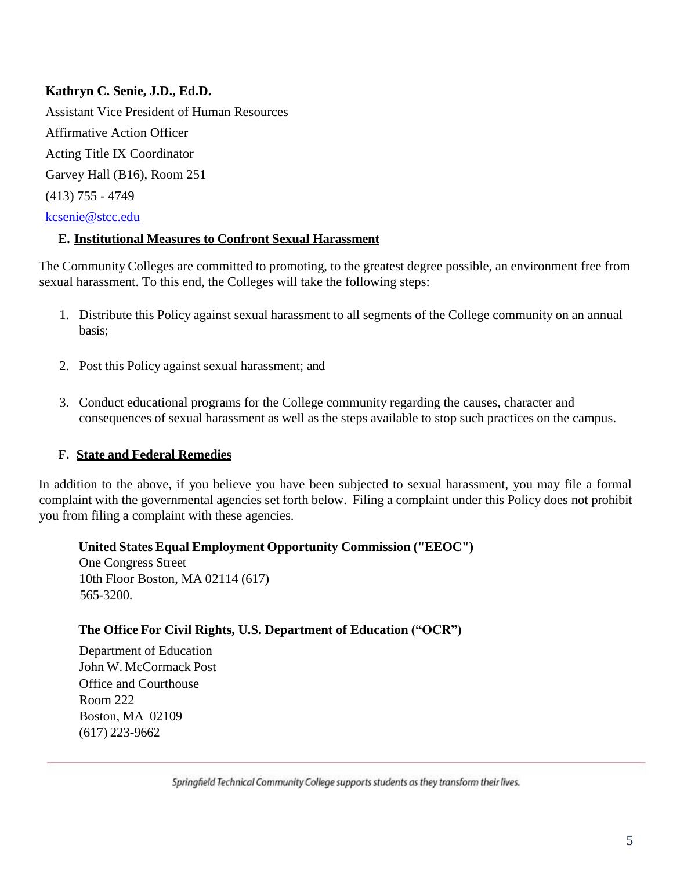### **Kathryn C. Senie, J.D., Ed.D.**

Assistant Vice President of Human Resources Affirmative Action Officer Acting Title IX Coordinator Garvey Hall (B16), Room 251 (413) 755 - 4749 [kcsenie@stcc.edu](mailto:kcsenie@stcc.edu)

#### **E. Institutional Measures to Confront Sexual Harassment**

The Community Colleges are committed to promoting, to the greatest degree possible, an environment free from sexual harassment. To this end, the Colleges will take the following steps:

- 1. Distribute this Policy against sexual harassment to all segments of the College community on an annual basis;
- 2. Post this Policy against sexual harassment; and
- 3. Conduct educational programs for the College community regarding the causes, character and consequences of sexual harassment as well as the steps available to stop such practices on the campus.

#### **F. State and Federal Remedies**

In addition to the above, if you believe you have been subjected to sexual harassment, you may file a formal complaint with the governmental agencies set forth below. Filing a complaint under this Policy does not prohibit you from filing a complaint with these agencies.

#### **United States Equal Employment Opportunity Commission ("EEOC")**

One Congress Street 10th Floor Boston, MA 02114 (617) 565-3200.

#### **The Office For Civil Rights, U.S. Department of Education ("OCR")**

Department of Education John W. McCormack Post Office and Courthouse Room 222 Boston, MA 02109 (617) 223-9662